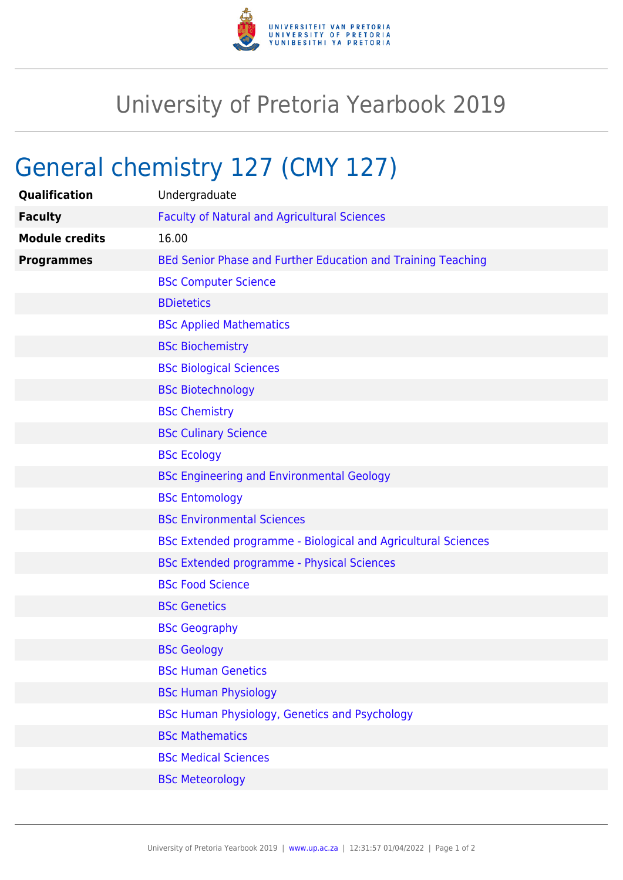

## University of Pretoria Yearbook 2019

## General chemistry 127 (CMY 127)

| Qualification         | Undergraduate                                                 |
|-----------------------|---------------------------------------------------------------|
| <b>Faculty</b>        | <b>Faculty of Natural and Agricultural Sciences</b>           |
| <b>Module credits</b> | 16.00                                                         |
| <b>Programmes</b>     | BEd Senior Phase and Further Education and Training Teaching  |
|                       | <b>BSc Computer Science</b>                                   |
|                       | <b>BDietetics</b>                                             |
|                       | <b>BSc Applied Mathematics</b>                                |
|                       | <b>BSc Biochemistry</b>                                       |
|                       | <b>BSc Biological Sciences</b>                                |
|                       | <b>BSc Biotechnology</b>                                      |
|                       | <b>BSc Chemistry</b>                                          |
|                       | <b>BSc Culinary Science</b>                                   |
|                       | <b>BSc Ecology</b>                                            |
|                       | <b>BSc Engineering and Environmental Geology</b>              |
|                       | <b>BSc Entomology</b>                                         |
|                       | <b>BSc Environmental Sciences</b>                             |
|                       | BSc Extended programme - Biological and Agricultural Sciences |
|                       | <b>BSc Extended programme - Physical Sciences</b>             |
|                       | <b>BSc Food Science</b>                                       |
|                       | <b>BSc Genetics</b>                                           |
|                       | <b>BSc Geography</b>                                          |
|                       | <b>BSc Geology</b>                                            |
|                       | <b>BSc Human Genetics</b>                                     |
|                       | <b>BSc Human Physiology</b>                                   |
|                       | BSc Human Physiology, Genetics and Psychology                 |
|                       | <b>BSc Mathematics</b>                                        |
|                       | <b>BSc Medical Sciences</b>                                   |
|                       | <b>BSc Meteorology</b>                                        |
|                       |                                                               |